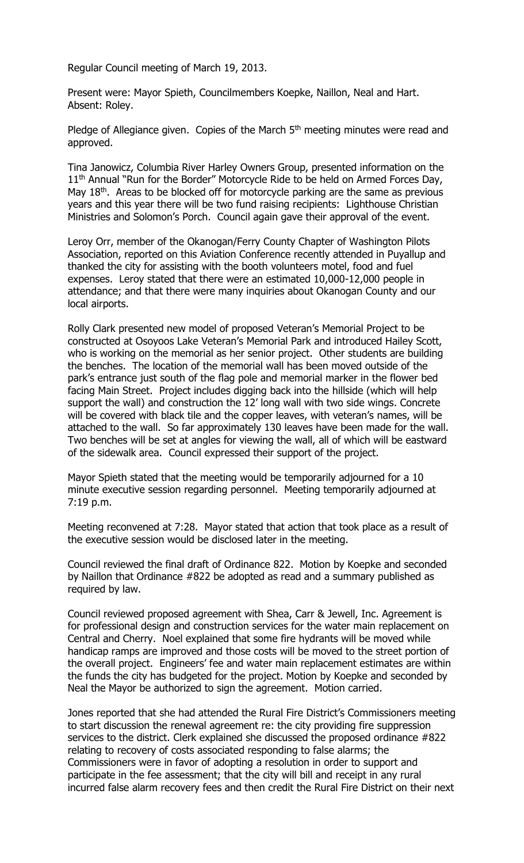Regular Council meeting of March 19, 2013.

Present were: Mayor Spieth, Councilmembers Koepke, Naillon, Neal and Hart. Absent: Roley.

Pledge of Allegiance given. Copies of the March 5<sup>th</sup> meeting minutes were read and approved.

Tina Janowicz, Columbia River Harley Owners Group, presented information on the 11<sup>th</sup> Annual "Run for the Border" Motorcycle Ride to be held on Armed Forces Day, May  $18<sup>th</sup>$ . Areas to be blocked off for motorcycle parking are the same as previous years and this year there will be two fund raising recipients: Lighthouse Christian Ministries and Solomon's Porch. Council again gave their approval of the event.

Leroy Orr, member of the Okanogan/Ferry County Chapter of Washington Pilots Association, reported on this Aviation Conference recently attended in Puyallup and thanked the city for assisting with the booth volunteers motel, food and fuel expenses. Leroy stated that there were an estimated 10,000-12,000 people in attendance; and that there were many inquiries about Okanogan County and our local airports.

Rolly Clark presented new model of proposed Veteran's Memorial Project to be constructed at Osoyoos Lake Veteran's Memorial Park and introduced Hailey Scott, who is working on the memorial as her senior project. Other students are building the benches. The location of the memorial wall has been moved outside of the park's entrance just south of the flag pole and memorial marker in the flower bed facing Main Street. Project includes digging back into the hillside (which will help support the wall) and construction the 12' long wall with two side wings. Concrete will be covered with black tile and the copper leaves, with veteran's names, will be attached to the wall. So far approximately 130 leaves have been made for the wall. Two benches will be set at angles for viewing the wall, all of which will be eastward of the sidewalk area. Council expressed their support of the project.

Mayor Spieth stated that the meeting would be temporarily adjourned for a 10 minute executive session regarding personnel. Meeting temporarily adjourned at 7:19 p.m.

Meeting reconvened at 7:28. Mayor stated that action that took place as a result of the executive session would be disclosed later in the meeting.

Council reviewed the final draft of Ordinance 822. Motion by Koepke and seconded by Naillon that Ordinance #822 be adopted as read and a summary published as required by law.

Council reviewed proposed agreement with Shea, Carr & Jewell, Inc. Agreement is for professional design and construction services for the water main replacement on Central and Cherry. Noel explained that some fire hydrants will be moved while handicap ramps are improved and those costs will be moved to the street portion of the overall project. Engineers' fee and water main replacement estimates are within the funds the city has budgeted for the project. Motion by Koepke and seconded by Neal the Mayor be authorized to sign the agreement. Motion carried.

Jones reported that she had attended the Rural Fire District's Commissioners meeting to start discussion the renewal agreement re: the city providing fire suppression services to the district. Clerk explained she discussed the proposed ordinance #822 relating to recovery of costs associated responding to false alarms; the Commissioners were in favor of adopting a resolution in order to support and participate in the fee assessment; that the city will bill and receipt in any rural incurred false alarm recovery fees and then credit the Rural Fire District on their next